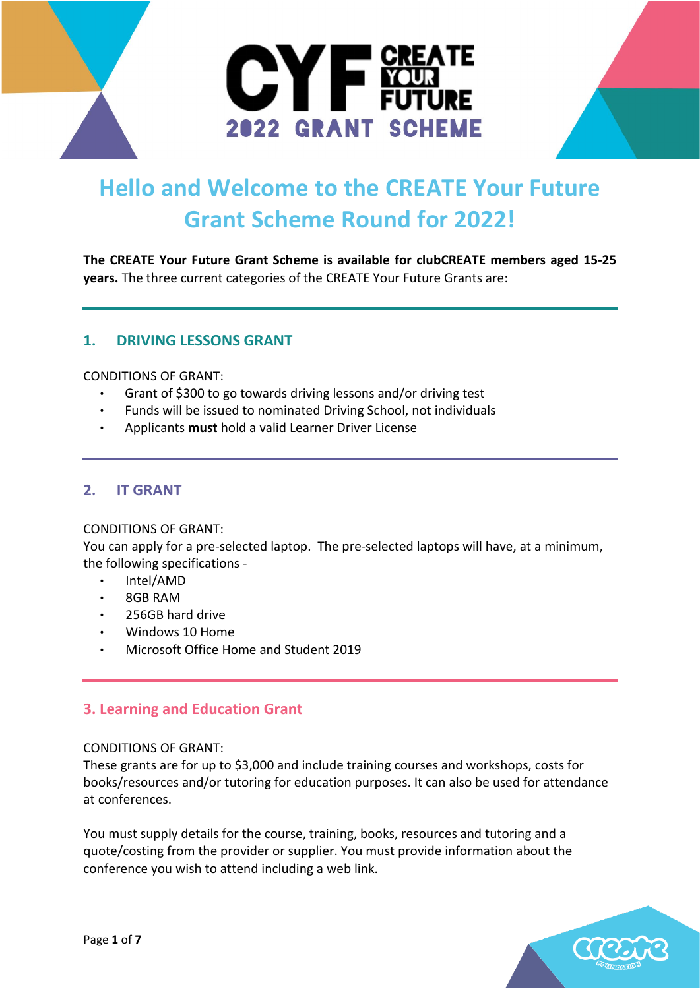

# **Hello and Welcome to the CREATE Your Future Grant Scheme Round for 2022!**

**The CREATE Your Future Grant Scheme is available for clubCREATE members aged 15-25 years.** The three current categories of the CREATE Your Future Grants are:

## **1. DRIVING LESSONS GRANT**

CONDITIONS OF GRANT:

- Grant of \$300 to go towards driving lessons and/or driving test
- Funds will be issued to nominated Driving School, not individuals
- Applicants **must** hold a valid Learner Driver License

## **2. IT GRANT**

#### CONDITIONS OF GRANT:

You can apply for a pre-selected laptop. The pre-selected laptops will have, at a minimum, the following specifications -

- Intel/AMD
- 8GB RAM
- 256GB hard drive
- Windows 10 Home
- Microsoft Office Home and Student 2019

# **3. Learning and Education Grant**

#### CONDITIONS OF GRANT:

These grants are for up to \$3,000 and include training courses and workshops, costs for books/resources and/or tutoring for education purposes. It can also be used for attendance at conferences.

You must supply details for the course, training, books, resources and tutoring and a quote/costing from the provider or supplier. You must provide information about the conference you wish to attend including a web link.

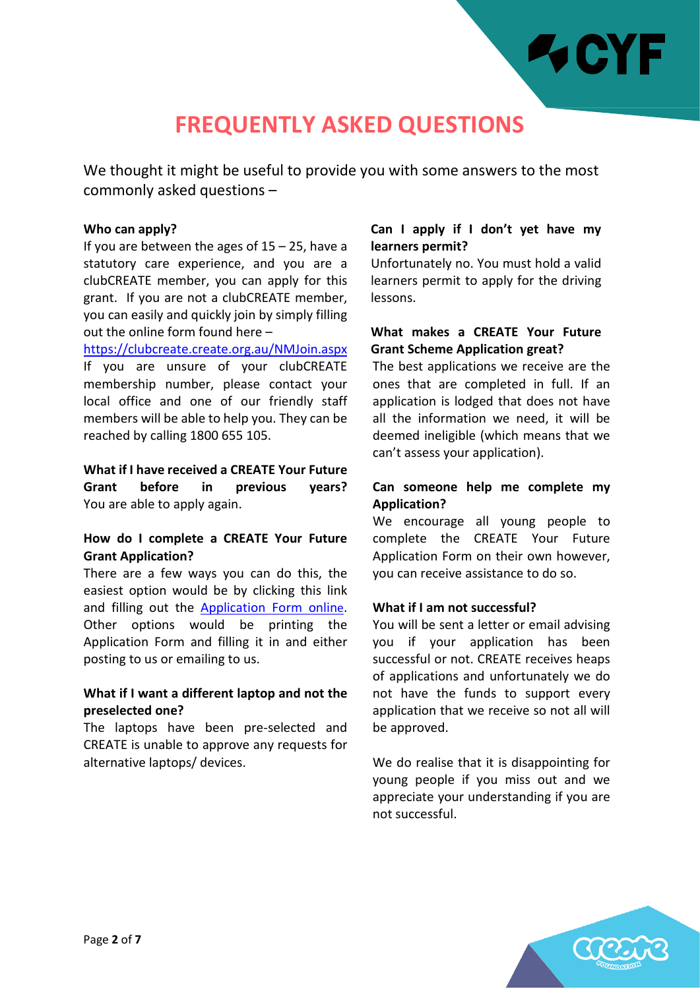

# **FREQUENTLY ASKED QUESTIONS**

We thought it might be useful to provide you with some answers to the most commonly asked questions –

#### **Who can apply?**

If you are between the ages of  $15 - 25$ , have a statutory care experience, and you are a clubCREATE member, you can apply for this grant. If you are not a clubCREATE member, you can easily and quickly join by simply filling out the online form found here –

<https://clubcreate.create.org.au/NMJoin.aspx> If you are unsure of your clubCREATE membership number, please contact your local office and one of our friendly staff members will be able to help you. They can be reached by calling 1800 655 105.

**What if I have received a CREATE Your Future Grant before in previous years?**  You are able to apply again.

### **How do I complete a CREATE Your Future Grant Application?**

There are a few ways you can do this, the easiest option would be by clicking this link and filling out the [Application Form](https://www.surveymonkey.com/r/PFNB8R3) online. Other options would be printing the Application Form and filling it in and either posting to us or emailing to us.

### **What if I want a different laptop and not the preselected one?**

The laptops have been pre-selected and CREATE is unable to approve any requests for alternative laptops/ devices.

### **Can I apply if I don't yet have my learners permit?**

Unfortunately no. You must hold a valid learners permit to apply for the driving lessons.

### **What makes a CREATE Your Future Grant Scheme Application great?**

The best applications we receive are the ones that are completed in full. If an application is lodged that does not have all the information we need, it will be deemed ineligible (which means that we can't assess your application).

## **Can someone help me complete my Application?**

We encourage all young people to complete the CREATE Your Future Application Form on their own however, you can receive assistance to do so.

#### **What if I am not successful?**

You will be sent a letter or email advising you if your application has been successful or not. CREATE receives heaps of applications and unfortunately we do not have the funds to support every application that we receive so not all will be approved.

We do realise that it is disappointing for young people if you miss out and we appreciate your understanding if you are not successful.

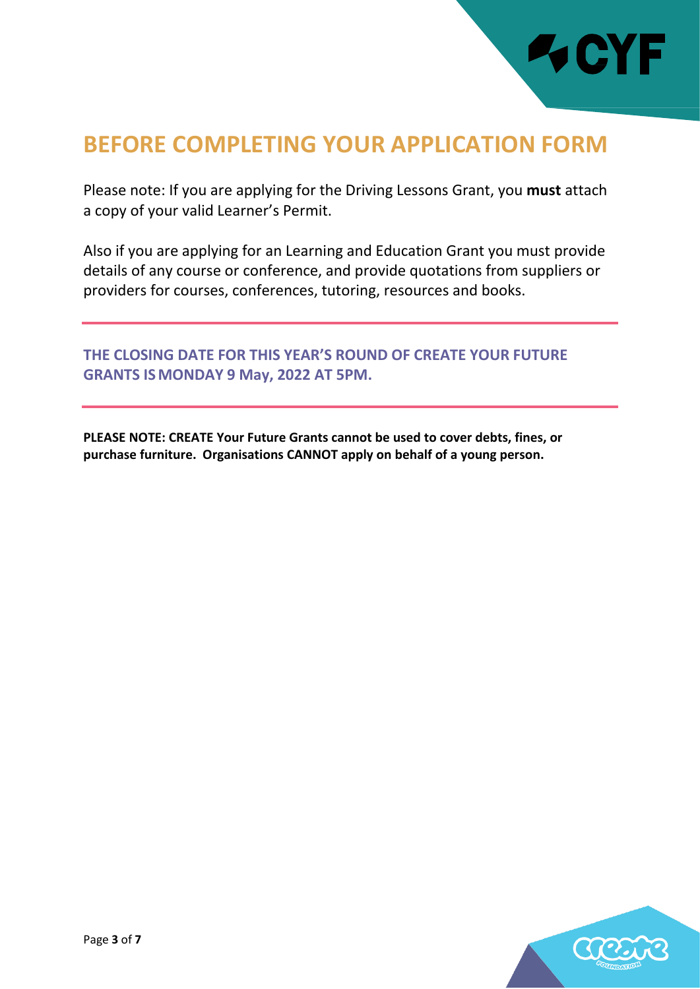

# **BEFORE COMPLETING YOUR APPLICATION FORM**

Please note: If you are applying for the Driving Lessons Grant, you **must** attach a copy of your valid Learner's Permit.

Also if you are applying for an Learning and Education Grant you must provide details of any course or conference, and provide quotations from suppliers or providers for courses, conferences, tutoring, resources and books.

**THE CLOSING DATE FOR THIS YEAR'S ROUND OF CREATE YOUR FUTURE GRANTS ISMONDAY 9 May, 2022 AT 5PM.**

**PLEASE NOTE: CREATE Your Future Grants cannot be used to cover debts, fines, or purchase furniture. Organisations CANNOT apply on behalf of a young person.**

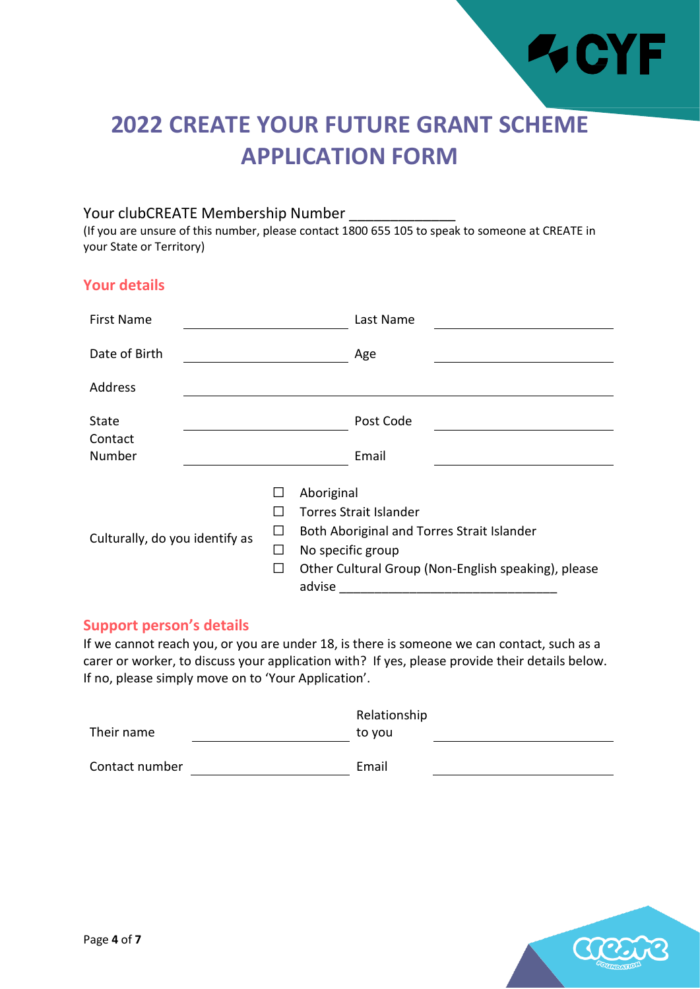

# **2022 CREATE YOUR FUTURE GRANT SCHEME APPLICATION FORM**

## Your clubCREATE Membership Number

(If you are unsure of this number, please contact 1800 655 105 to speak to someone at CREATE in your State or Territory)

# **Your details**

| <b>First Name</b>              |    |        | Last Name                                                                                                                                                      |  |
|--------------------------------|----|--------|----------------------------------------------------------------------------------------------------------------------------------------------------------------|--|
| Date of Birth                  |    |        | Age                                                                                                                                                            |  |
| Address                        |    |        |                                                                                                                                                                |  |
| State                          |    |        | Post Code                                                                                                                                                      |  |
| Contact<br>Number              |    |        | Email                                                                                                                                                          |  |
| Culturally, do you identify as | ΙI | advise | Aboriginal<br>Torres Strait Islander<br>Both Aboriginal and Torres Strait Islander<br>No specific group<br>Other Cultural Group (Non-English speaking), please |  |

## **Support person's details**

If we cannot reach you, or you are under 18, is there is someone we can contact, such as a carer or worker, to discuss your application with? If yes, please provide their details below. If no, please simply move on to 'Your Application'.

|                | Relationship |  |
|----------------|--------------|--|
| Their name     | to vou       |  |
|                |              |  |
| Contact number | Email        |  |

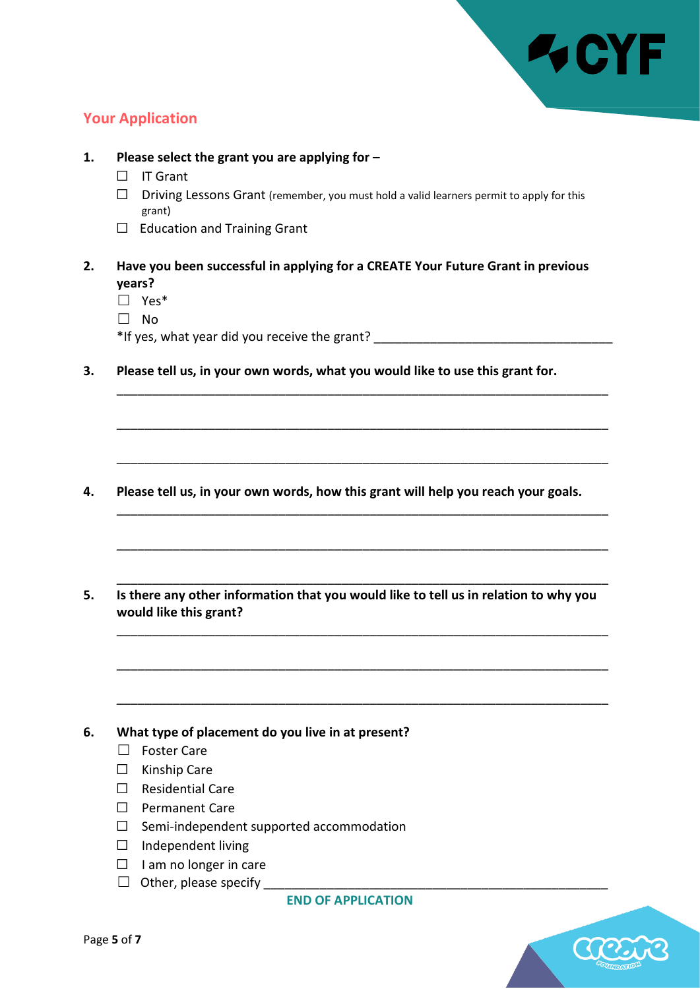

# **Your Application**

**1. Please select the grant you are applying for –** ☐ IT Grant ☐ Driving Lessons Grant (remember, you must hold a valid learners permit to apply for this grant) □ Education and Training Grant **2. Have you been successful in applying for a CREATE Your Future Grant in previous years?**  ☐ Yes\* ☐ No \*If yes, what year did you receive the grant? \_\_\_\_\_\_\_\_\_\_\_\_\_\_\_\_\_\_\_\_\_\_\_\_\_\_\_\_\_\_\_\_\_\_ **3. Please tell us, in your own words, what you would like to use this grant for.**

\_\_\_\_\_\_\_\_\_\_\_\_\_\_\_\_\_\_\_\_\_\_\_\_\_\_\_\_\_\_\_\_\_\_\_\_\_\_\_\_\_\_\_\_\_\_\_\_\_\_\_\_\_\_\_\_\_\_\_\_\_\_\_\_\_\_\_\_\_\_

\_\_\_\_\_\_\_\_\_\_\_\_\_\_\_\_\_\_\_\_\_\_\_\_\_\_\_\_\_\_\_\_\_\_\_\_\_\_\_\_\_\_\_\_\_\_\_\_\_\_\_\_\_\_\_\_\_\_\_\_\_\_\_\_\_\_\_\_\_\_

\_\_\_\_\_\_\_\_\_\_\_\_\_\_\_\_\_\_\_\_\_\_\_\_\_\_\_\_\_\_\_\_\_\_\_\_\_\_\_\_\_\_\_\_\_\_\_\_\_\_\_\_\_\_\_\_\_\_\_\_\_\_\_\_\_\_\_\_\_\_

\_\_\_\_\_\_\_\_\_\_\_\_\_\_\_\_\_\_\_\_\_\_\_\_\_\_\_\_\_\_\_\_\_\_\_\_\_\_\_\_\_\_\_\_\_\_\_\_\_\_\_\_\_\_\_\_\_\_\_\_\_\_\_\_\_\_\_\_\_\_

\_\_\_\_\_\_\_\_\_\_\_\_\_\_\_\_\_\_\_\_\_\_\_\_\_\_\_\_\_\_\_\_\_\_\_\_\_\_\_\_\_\_\_\_\_\_\_\_\_\_\_\_\_\_\_\_\_\_\_\_\_\_\_\_\_\_\_\_\_\_

\_\_\_\_\_\_\_\_\_\_\_\_\_\_\_\_\_\_\_\_\_\_\_\_\_\_\_\_\_\_\_\_\_\_\_\_\_\_\_\_\_\_\_\_\_\_\_\_\_\_\_\_\_\_\_\_\_\_\_\_\_\_\_\_\_\_\_\_\_\_

\_\_\_\_\_\_\_\_\_\_\_\_\_\_\_\_\_\_\_\_\_\_\_\_\_\_\_\_\_\_\_\_\_\_\_\_\_\_\_\_\_\_\_\_\_\_\_\_\_\_\_\_\_\_\_\_\_\_\_\_\_\_\_\_\_\_\_\_\_\_

\_\_\_\_\_\_\_\_\_\_\_\_\_\_\_\_\_\_\_\_\_\_\_\_\_\_\_\_\_\_\_\_\_\_\_\_\_\_\_\_\_\_\_\_\_\_\_\_\_\_\_\_\_\_\_\_\_\_\_\_\_\_\_\_\_\_\_\_\_\_

- \_\_\_\_\_\_\_\_\_\_\_\_\_\_\_\_\_\_\_\_\_\_\_\_\_\_\_\_\_\_\_\_\_\_\_\_\_\_\_\_\_\_\_\_\_\_\_\_\_\_\_\_\_\_\_\_\_\_\_\_\_\_\_\_\_\_\_\_\_\_
- **4. Please tell us, in your own words, how this grant will help you reach your goals.**
- **5. Is there any other information that you would like to tell us in relation to why you would like this grant?**

**6. What type of placement do you live in at present?** 

- ☐ Foster Care
- ☐ Kinship Care
- ☐ Residential Care
- ☐ Permanent Care
- $\Box$  Semi-independent supported accommodation
- ☐ Independent living
- $\Box$  I am no longer in care
- $\Box$  Other, please specify

**END OF APPLICATION**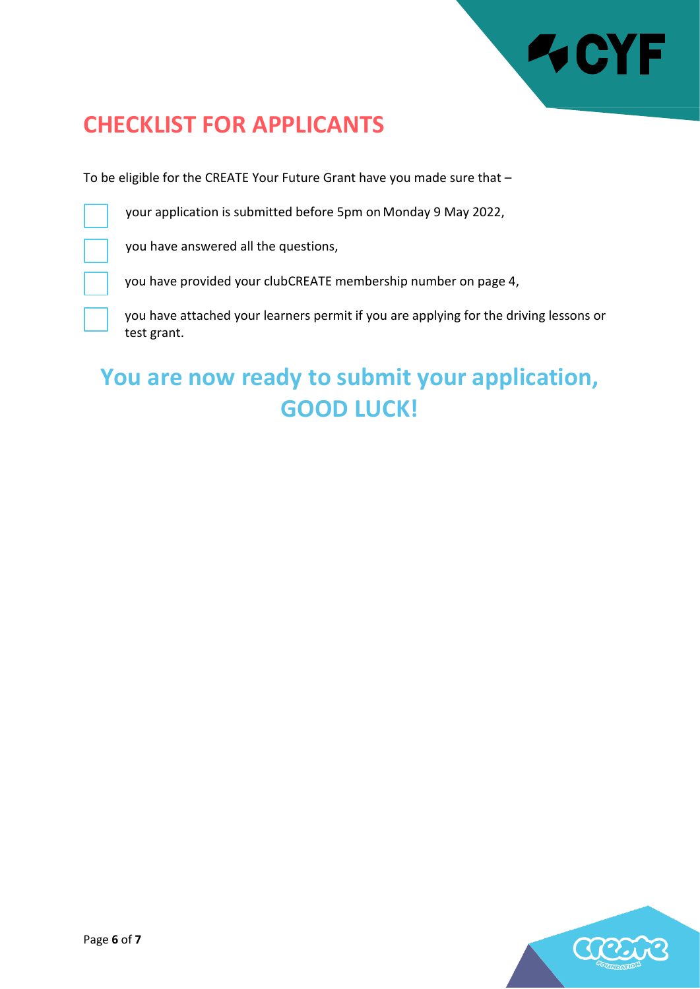

# **CHECKLIST FOR APPLICANTS**

To be eligible for the CREATE Your Future Grant have you made sure that –

your application is submitted before 5pm on Monday 9 May 2022,

you have answered all the questions,

you have provided your clubCREATE membership number on page 4,

you have attached your learners permit if you are applying for the driving lessons or test grant.

# **You are now ready to submit your application, GOOD LUCK!**